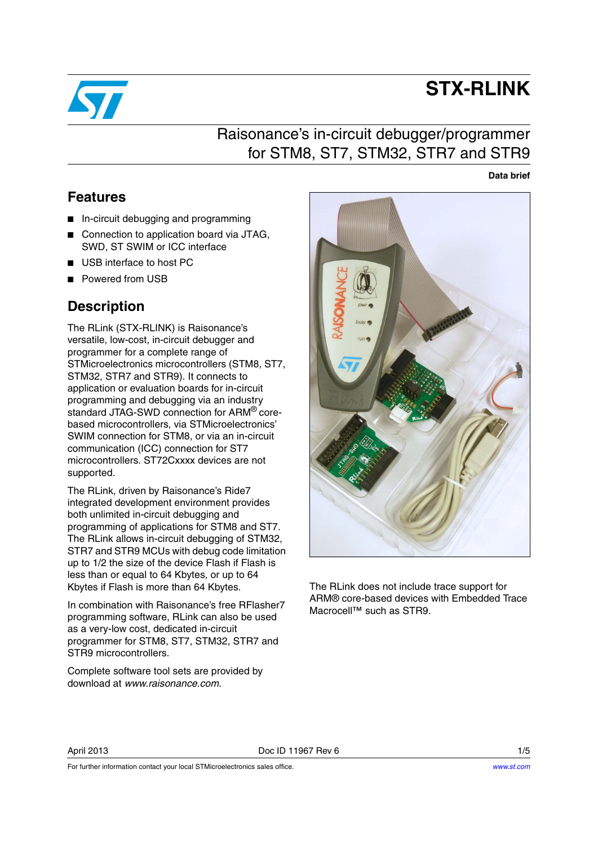

# **STX-RLINK**

### Raisonance's in-circuit debugger/programmer for STM8, ST7, STM32, STR7 and STR9

**Data brief**

### <span id="page-0-0"></span>**Features**

- In-circuit debugging and programming
- Connection to application board via JTAG. SWD, ST SWIM or ICC interface
- USB interface to host PC
- Powered from USB

### <span id="page-0-1"></span>**Description**

The RLink (STX-RLINK) is Raisonance's versatile, low-cost, in-circuit debugger and programmer for a complete range of STMicroelectronics microcontrollers (STM8, ST7, STM32, STR7 and STR9). It connects to application or evaluation boards for in-circuit programming and debugging via an industry standard JTAG-SWD connection for ARM® corebased microcontrollers, via STMicroelectronics' SWIM connection for STM8, or via an in-circuit communication (ICC) connection for ST7 microcontrollers. ST72Cxxxx devices are not supported.

The RLink, driven by Raisonance's Ride7 integrated development environment provides both unlimited in-circuit debugging and programming of applications for STM8 and ST7. The RLink allows in-circuit debugging of STM32, STR7 and STR9 MCUs with debug code limitation up to 1/2 the size of the device Flash if Flash is less than or equal to 64 Kbytes, or up to 64 Kbytes if Flash is more than 64 Kbytes.

In combination with Raisonance's free RFlasher7 programming software, RLink can also be used as a very-low cost, dedicated in-circuit programmer for STM8, ST7, STM32, STR7 and STR9 microcontrollers.

Complete software tool sets are provided by download at *www.raisonance.com*.



The RLink does not include trace support for ARM® core-based devices with Embedded Trace Macrocell™ such as STR9.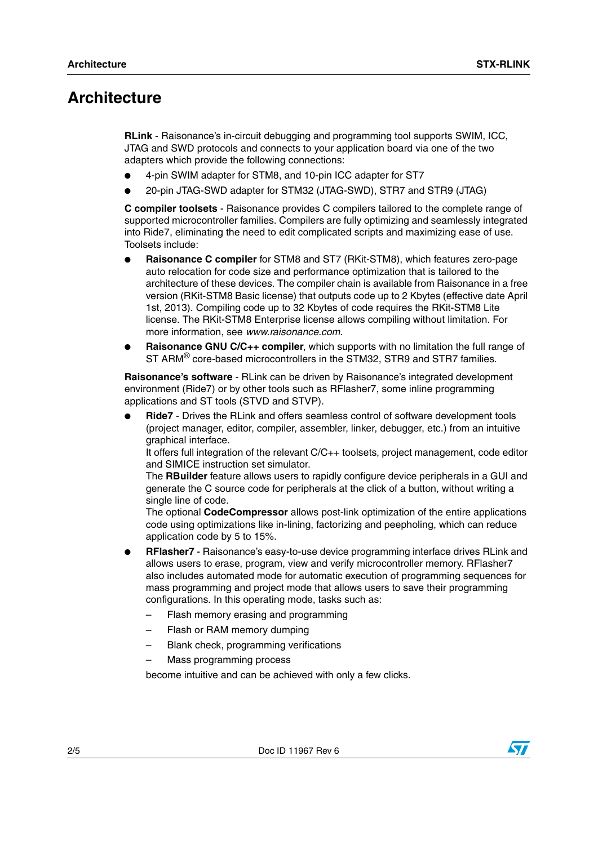### <span id="page-1-0"></span>**Architecture**

**RLink** - Raisonance's in-circuit debugging and programming tool supports SWIM, ICC, JTAG and SWD protocols and connects to your application board via one of the two adapters which provide the following connections:

- 4-pin SWIM adapter for STM8, and 10-pin ICC adapter for ST7
- 20-pin JTAG-SWD adapter for STM32 (JTAG-SWD), STR7 and STR9 (JTAG)

**C compiler toolsets** - Raisonance provides C compilers tailored to the complete range of supported microcontroller families. Compilers are fully optimizing and seamlessly integrated into Ride7, eliminating the need to edit complicated scripts and maximizing ease of use. Toolsets include:

- **Raisonance C compiler** for STM8 and ST7 (RKit-STM8), which features zero-page auto relocation for code size and performance optimization that is tailored to the architecture of these devices. The compiler chain is available from Raisonance in a free version (RKit-STM8 Basic license) that outputs code up to 2 Kbytes (effective date April 1st, 2013). Compiling code up to 32 Kbytes of code requires the RKit-STM8 Lite license. The RKit-STM8 Enterprise license allows compiling without limitation. For more information, see *www.raisonance.com*.
- **Raisonance GNU C/C++ compiler**, which supports with no limitation the full range of ST ARM<sup>®</sup> core-based microcontrollers in the STM32, STR9 and STR7 families.

**Raisonance's software** - RLink can be driven by Raisonance's integrated development environment (Ride7) or by other tools such as RFlasher7, some inline programming applications and ST tools (STVD and STVP).

**Ride7** - Drives the RLink and offers seamless control of software development tools (project manager, editor, compiler, assembler, linker, debugger, etc.) from an intuitive graphical interface.

It offers full integration of the relevant C/C++ toolsets, project management, code editor and SIMICE instruction set simulator.

The **RBuilder** feature allows users to rapidly configure device peripherals in a GUI and generate the C source code for peripherals at the click of a button, without writing a single line of code.

The optional **CodeCompressor** allows post-link optimization of the entire applications code using optimizations like in-lining, factorizing and peepholing, which can reduce application code by 5 to 15%.

- **RFlasher7** Raisonance's easy-to-use device programming interface drives RLink and allows users to erase, program, view and verify microcontroller memory. RFlasher7 also includes automated mode for automatic execution of programming sequences for mass programming and project mode that allows users to save their programming configurations. In this operating mode, tasks such as:
	- Flash memory erasing and programming
	- Flash or RAM memory dumping
	- Blank check, programming verifications
	- Mass programming process

become intuitive and can be achieved with only a few clicks.

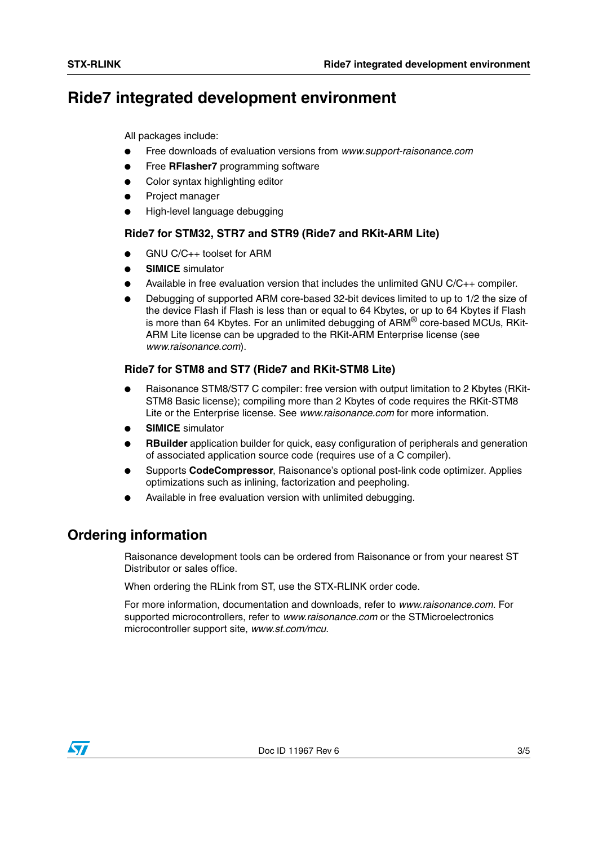## <span id="page-2-0"></span>**Ride7 integrated development environment**

All packages include:

- Free downloads of evaluation versions from *www.support-raisonance.com*
- Free **RFlasher7** programming software
- Color syntax highlighting editor
- Project manager
- High-level language debugging

### **Ride7 for STM32, STR7 and STR9 (Ride7 and RKit-ARM Lite)**

- GNU C/C++ toolset for ARM
- **SIMICE** simulator
- Available in free evaluation version that includes the unlimited GNU  $C/C++$  compiler.
- Debugging of supported ARM core-based 32-bit devices limited to up to 1/2 the size of the device Flash if Flash is less than or equal to 64 Kbytes, or up to 64 Kbytes if Flash is more than 64 Kbytes. For an unlimited debugging of ARM<sup>®</sup> core-based MCUs, RKit-ARM Lite license can be upgraded to the RKit-ARM Enterprise license (see *www.raisonance.com*).

### <span id="page-2-1"></span>**Ride7 for STM8 and ST7 (Ride7 and RKit-STM8 Lite)**

- Raisonance STM8/ST7 C compiler: free version with output limitation to 2 Kbytes (RKit-STM8 Basic license); compiling more than 2 Kbytes of code requires the RKit-STM8 Lite or the Enterprise license. See *www.raisonance.com* for more information.
- **SIMICE** simulator
- **RBuilder** application builder for quick, easy configuration of peripherals and generation of associated application source code (requires use of a C compiler).
- Supports CodeCompressor, Raisonance's optional post-link code optimizer. Applies optimizations such as inlining, factorization and peepholing.
- Available in free evaluation version with unlimited debugging.

### **Ordering information**

Raisonance development tools can be ordered from Raisonance or from your nearest ST Distributor or sales office.

When ordering the RLink from ST, use the STX-RLINK order code.

For more information, documentation and downloads, refer to *www.raisonance.com*. For supported microcontrollers, refer to *www.raisonance.com* or the STMicroelectronics microcontroller support site, *www.st.com/mcu*.

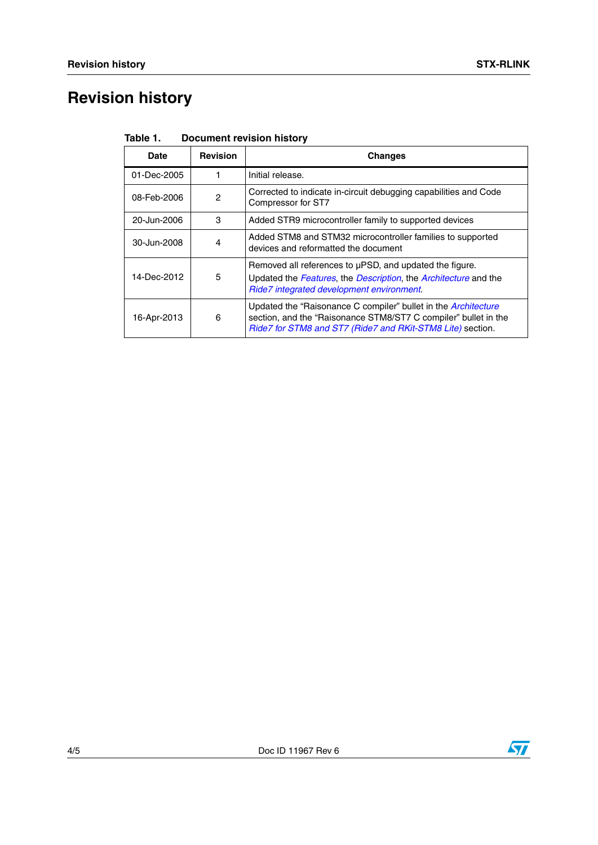# **Revision history**

| Date        | <b>Revision</b> | <b>Changes</b>                                                                                                                                                                                  |
|-------------|-----------------|-------------------------------------------------------------------------------------------------------------------------------------------------------------------------------------------------|
| 01-Dec-2005 |                 | Initial release.                                                                                                                                                                                |
| 08-Feb-2006 | 2               | Corrected to indicate in-circuit debugging capabilities and Code<br>Compressor for ST7                                                                                                          |
| 20-Jun-2006 | 3               | Added STR9 microcontroller family to supported devices                                                                                                                                          |
| 30-Jun-2008 | 4               | Added STM8 and STM32 microcontroller families to supported<br>devices and reformatted the document                                                                                              |
| 14-Dec-2012 | 5               | Removed all references to uPSD, and updated the figure.<br>Updated the Features, the Description, the Architecture and the<br>Ride7 integrated development environment.                         |
| 16-Apr-2013 | 6               | Updated the "Raisonance C compiler" bullet in the Architecture<br>section, and the "Raisonance STM8/ST7 C compiler" bullet in the<br>Ride7 for STM8 and ST7 (Ride7 and RKit-STM8 Lite) section. |

Table 1. **Document revision history**